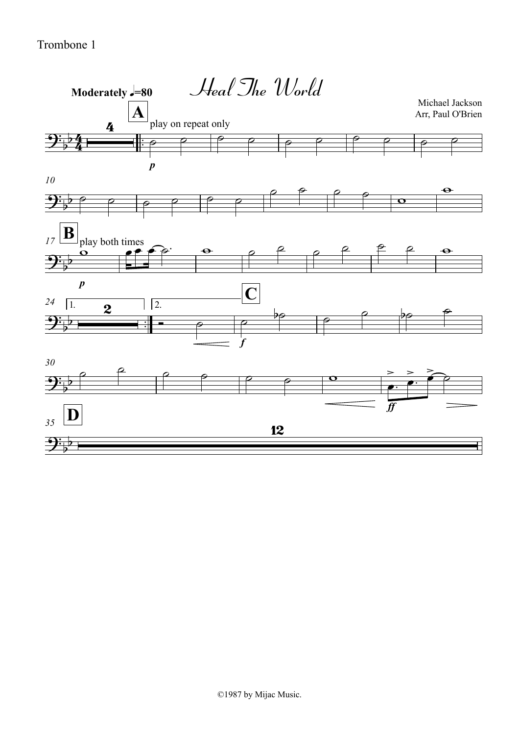Trombone 1